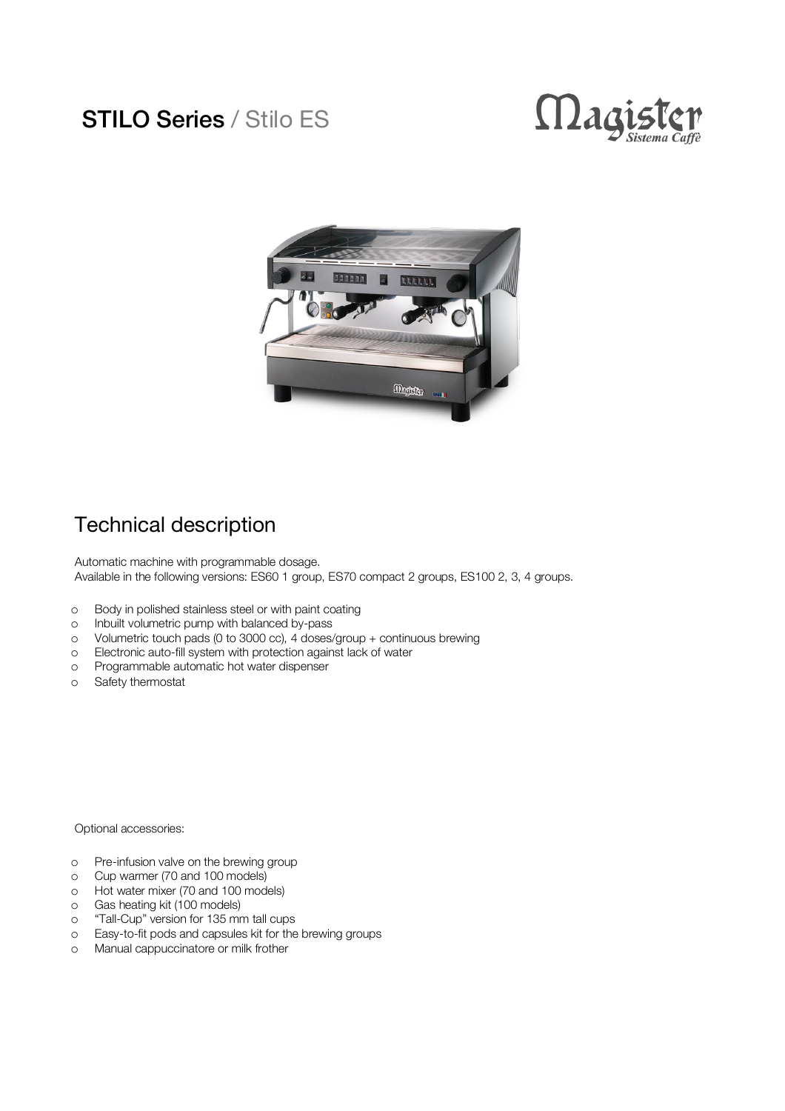## STILO Series / Stilo ES





## Technical description

Automatic machine with programmable dosage. Available in the following versions: ES60 1 group, ES70 compact 2 groups, ES100 2, 3, 4 groups.

- o Body in polished stainless steel or with paint coating
- o Inbuilt volumetric pump with balanced by-pass
- o Volumetric touch pads (0 to 3000 cc), 4 doses/group + continuous brewing
- o Electronic auto-fill system with protection against lack of water
- o Programmable automatic hot water dispenser
- o Safety thermostat

Optional accessories:

- o Pre-infusion valve on the brewing group
- o Cup warmer (70 and 100 models)
- o Hot water mixer (70 and 100 models)
- o Gas heating kit (100 models)
- o "Tall-Cup" version for 135 mm tall cups
- o Easy-to-fit pods and capsules kit for the brewing groups
- o Manual cappuccinatore or milk frother